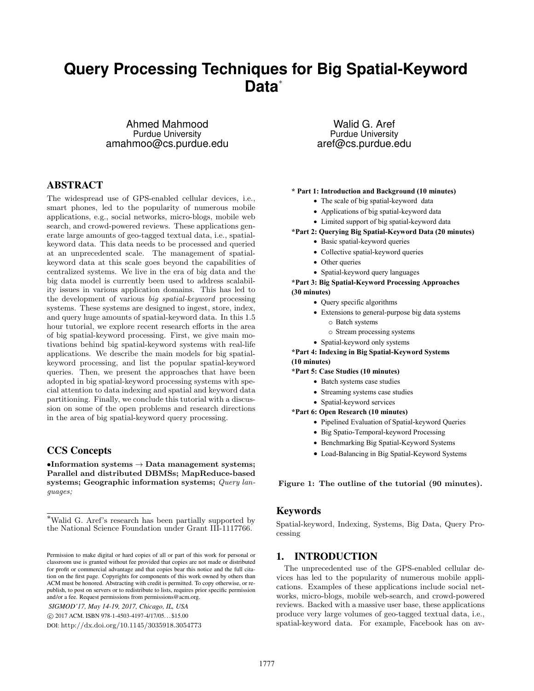# **Query Processing Techniques for Big Spatial-Keyword Data**<sup>∗</sup>

Ahmed Mahmood Purdue University amahmoo@cs.purdue.edu

# ABSTRACT

The widespread use of GPS-enabled cellular devices, i.e., smart phones, led to the popularity of numerous mobile applications, e.g., social networks, micro-blogs, mobile web search, and crowd-powered reviews. These applications generate large amounts of geo-tagged textual data, i.e., spatialkeyword data. This data needs to be processed and queried at an unprecedented scale. The management of spatialkeyword data at this scale goes beyond the capabilities of centralized systems. We live in the era of big data and the big data model is currently been used to address scalability issues in various application domains. This has led to the development of various big spatial-keyword processing systems. These systems are designed to ingest, store, index, and query huge amounts of spatial-keyword data. In this 1.5 hour tutorial, we explore recent research efforts in the area of big spatial-keyword processing. First, we give main motivations behind big spatial-keyword systems with real-life applications. We describe the main models for big spatialkeyword processing, and list the popular spatial-keyword queries. Then, we present the approaches that have been adopted in big spatial-keyword processing systems with special attention to data indexing and spatial and keyword data partitioning. Finally, we conclude this tutorial with a discussion on some of the open problems and research directions in the area of big spatial-keyword query processing.

## CCS Concepts

•Information systems  $\rightarrow$  Data management systems; Parallel and distributed DBMSs; MapReduce-based systems; Geographic information systems; Query languages;

*SIGMOD'17, May 14-19, 2017, Chicago, IL, USA*

c 2017 ACM. ISBN 978-1-4503-4197-4/17/05. . . \$15.00

DOI: http://dx.doi.org/10.1145/3035918.3054773

Walid G. Aref Purdue University aref@cs.purdue.edu

#### $*$  Part 1: Introduction and Background (10 minutes)

- The scale of big spatial-keyword data
- Applications of big spatial-keyword data
- Limited support of big spatial-keyword data

**\*Part 2: Querying Big Spatial-Keyword Data (20 minutes)** 

- · Basic spatial-keyword queries
- Collective spatial-keyword queries
- Other queries
- Spatial-keyword query languages

**\*Part 3: Big Spatial-Keyword Processing Approaches** (30 minutes)

- Query specific algorithms
	- Extensions to general-purpose big data systems o Batch systems
		- o Stream processing systems
	- Spatial-keyword only systems

**\*Part 4: Indexing in Big Spatial-Keyword Systems** (10 minutes)

- **\*Part 5: Case Studies (10 minutes)** 
	- · Batch systems case studies
	- Streaming systems case studies
	- Spatial-keyword services
- \*Part 6: Open Research (10 minutes)
	- Pipelined Evaluation of Spatial-keyword Queries
	- · Big Spatio-Temporal-keyword Processing
	- Benchmarking Big Spatial-Keyword Systems
	- Load-Balancing in Big Spatial-Keyword Systems

Figure 1: The outline of the tutorial (90 minutes).

#### Keywords

Spatial-keyword, Indexing, Systems, Big Data, Query Processing

# 1. INTRODUCTION

The unprecedented use of the GPS-enabled cellular devices has led to the popularity of numerous mobile applications. Examples of these applications include social networks, micro-blogs, mobile web-search, and crowd-powered reviews. Backed with a massive user base, these applications produce very large volumes of geo-tagged textual data, i.e., spatial-keyword data. For example, Facebook has on av-

<sup>∗</sup>Walid G. Aref's research has been partially supported by the National Science Foundation under Grant III-1117766.

Permission to make digital or hard copies of all or part of this work for personal or classroom use is granted without fee provided that copies are not made or distributed for profit or commercial advantage and that copies bear this notice and the full citation on the first page. Copyrights for components of this work owned by others than ACM must be honored. Abstracting with credit is permitted. To copy otherwise, or republish, to post on servers or to redistribute to lists, requires prior specific permission and/or a fee. Request permissions from permissions@acm.org.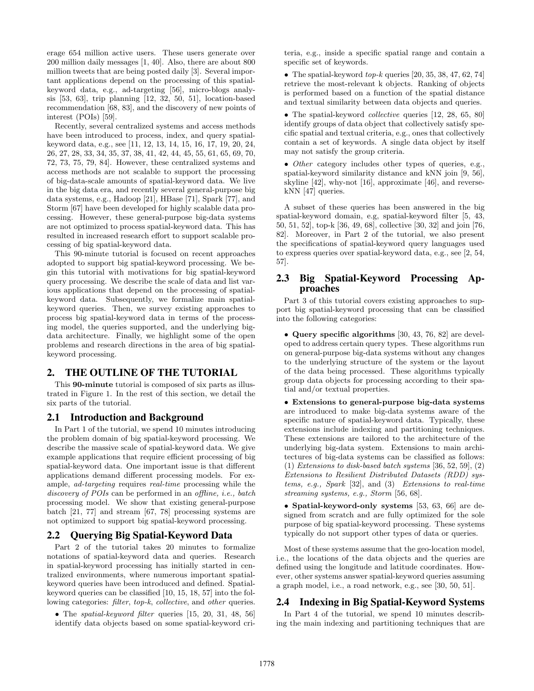erage 654 million active users. These users generate over 200 million daily messages [1, 40]. Also, there are about 800 million tweets that are being posted daily [3]. Several important applications depend on the processing of this spatialkeyword data, e.g., ad-targeting [56], micro-blogs analysis [53, 63], trip planning [12, 32, 50, 51], location-based recommendation [68, 83], and the discovery of new points of interest (POIs) [59].

Recently, several centralized systems and access methods have been introduced to process, index, and query spatialkeyword data, e.g., see [11, 12, 13, 14, 15, 16, 17, 19, 20, 24, 26, 27, 28, 33, 34, 35, 37, 38, 41, 42, 44, 45, 55, 61, 65, 69, 70, 72, 73, 75, 79, 84]. However, these centralized systems and access methods are not scalable to support the processing of big-data-scale amounts of spatial-keyword data. We live in the big data era, and recently several general-purpose big data systems, e.g., Hadoop [21], HBase [71], Spark [77], and Storm [67] have been developed for highly scalable data processing. However, these general-purpose big-data systems are not optimized to process spatial-keyword data. This has resulted in increased research effort to support scalable processing of big spatial-keyword data.

This 90-minute tutorial is focused on recent approaches adopted to support big spatial-keyword processing. We begin this tutorial with motivations for big spatial-keyword query processing. We describe the scale of data and list various applications that depend on the processing of spatialkeyword data. Subsequently, we formalize main spatialkeyword queries. Then, we survey existing approaches to process big spatial-keyword data in terms of the processing model, the queries supported, and the underlying bigdata architecture. Finally, we highlight some of the open problems and research directions in the area of big spatialkeyword processing.

## 2. THE OUTLINE OF THE TUTORIAL

This 90-minute tutorial is composed of six parts as illustrated in Figure 1. In the rest of this section, we detail the six parts of the tutorial.

## 2.1 Introduction and Background

In Part 1 of the tutorial, we spend 10 minutes introducing the problem domain of big spatial-keyword processing. We describe the massive scale of spatial-keyword data. We give example applications that require efficient processing of big spatial-keyword data. One important issue is that different applications demand different processing models. For example, ad-targeting requires real-time processing while the discovery of POIs can be performed in an offline, i.e., batch processing model. We show that existing general-purpose batch [21, 77] and stream [67, 78] processing systems are not optimized to support big spatial-keyword processing.

## 2.2 Querying Big Spatial-Keyword Data

Part 2 of the tutorial takes 20 minutes to formalize notations of spatial-keyword data and queries. Research in spatial-keyword processing has initially started in centralized environments, where numerous important spatialkeyword queries have been introduced and defined. Spatialkeyword queries can be classified [10, 15, 18, 57] into the following categories: filter, top-k, collective, and other queries.

• The spatial-keyword filter queries [15, 20, 31, 48, 56] identify data objects based on some spatial-keyword cri-

teria, e.g., inside a specific spatial range and contain a specific set of keywords.

• The spatial-keyword  $top-k$  queries  $[20, 35, 38, 47, 62, 74]$ retrieve the most-relevant k objects. Ranking of objects is performed based on a function of the spatial distance and textual similarity between data objects and queries.

• The spatial-keyword collective queries [12, 28, 65, 80] identify groups of data object that collectively satisfy specific spatial and textual criteria, e.g., ones that collectively contain a set of keywords. A single data object by itself may not satisfy the group criteria.

• Other category includes other types of queries, e.g., spatial-keyword similarity distance and kNN join [9, 56], skyline [42], why-not [16], approximate [46], and reversekNN [47] queries.

A subset of these queries has been answered in the big spatial-keyword domain, e.g, spatial-keyword filter [5, 43, 50, 51, 52], top-k [36, 49, 68], collective [30, 32] and join [76, 82]. Moreover, in Part 2 of the tutorial, we also present the specifications of spatial-keyword query languages used to express queries over spatial-keyword data, e.g., see [2, 54, 57].

#### 2.3 Big Spatial-Keyword Processing Approaches

Part 3 of this tutorial covers existing approaches to support big spatial-keyword processing that can be classified into the following categories:

• Query specific algorithms [30, 43, 76, 82] are developed to address certain query types. These algorithms run on general-purpose big-data systems without any changes to the underlying structure of the system or the layout of the data being processed. These algorithms typically group data objects for processing according to their spatial and/or textual properties.

• Extensions to general-purpose big-data systems are introduced to make big-data systems aware of the specific nature of spatial-keyword data. Typically, these extensions include indexing and partitioning techniques. These extensions are tailored to the architecture of the underlying big-data system. Extensions to main architectures of big-data systems can be classified as follows:  $(1)$  Extensions to disk-based batch systems [36, 52, 59],  $(2)$ Extensions to Resilient Distributed Datasets (RDD) systems, e.g., Spark [32], and (3) Extensions to real-time streaming systems, e.g., Storm [56, 68].

• Spatial-keyword-only systems [53, 63, 66] are designed from scratch and are fully optimized for the sole purpose of big spatial-keyword processing. These systems typically do not support other types of data or queries.

Most of these systems assume that the geo-location model, i.e., the locations of the data objects and the queries are defined using the longitude and latitude coordinates. However, other systems answer spatial-keyword queries assuming a graph model, i.e., a road network, e.g., see [30, 50, 51].

## 2.4 Indexing in Big Spatial-Keyword Systems

In Part 4 of the tutorial, we spend 10 minutes describing the main indexing and partitioning techniques that are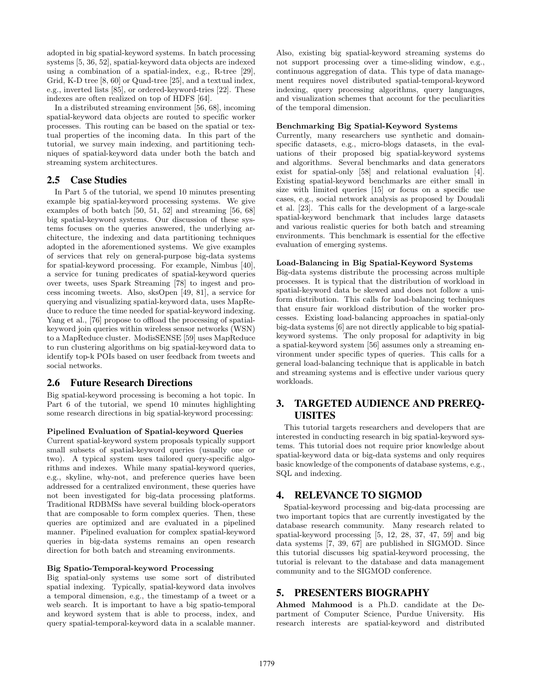adopted in big spatial-keyword systems. In batch processing systems [5, 36, 52], spatial-keyword data objects are indexed using a combination of a spatial-index, e.g., R-tree [29], Grid, K-D tree [8, 60] or Quad-tree [25], and a textual index, e.g., inverted lists [85], or ordered-keyword-tries [22]. These indexes are often realized on top of HDFS [64].

In a distributed streaming environment [56, 68], incoming spatial-keyword data objects are routed to specific worker processes. This routing can be based on the spatial or textual properties of the incoming data. In this part of the tutorial, we survey main indexing, and partitioning techniques of spatial-keyword data under both the batch and streaming system architectures.

# 2.5 Case Studies

In Part 5 of the tutorial, we spend 10 minutes presenting example big spatial-keyword processing systems. We give examples of both batch [50, 51, 52] and streaming [56, 68] big spatial-keyword systems. Our discussion of these systems focuses on the queries answered, the underlying architecture, the indexing and data partitioning techniques adopted in the aforementioned systems. We give examples of services that rely on general-purpose big-data systems for spatial-keyword processing. For example, Nimbus [40], a service for tuning predicates of spatial-keyword queries over tweets, uses Spark Streaming [78] to ingest and process incoming tweets. Also, sksOpen [49, 81], a service for querying and visualizing spatial-keyword data, uses MapReduce to reduce the time needed for spatial-keyword indexing. Yang et al., [76] propose to offload the processing of spatialkeyword join queries within wireless sensor networks (WSN) to a MapReduce cluster. ModisSENSE [59] uses MapReduce to run clustering algorithms on big spatial-keyword data to identify top-k POIs based on user feedback from tweets and social networks.

# 2.6 Future Research Directions

Big spatial-keyword processing is becoming a hot topic. In Part 6 of the tutorial, we spend 10 minutes highlighting some research directions in big spatial-keyword processing:

#### Pipelined Evaluation of Spatial-keyword Queries

Current spatial-keyword system proposals typically support small subsets of spatial-keyword queries (usually one or two). A typical system uses tailored query-specific algorithms and indexes. While many spatial-keyword queries, e.g., skyline, why-not, and preference queries have been addressed for a centralized environment, these queries have not been investigated for big-data processing platforms. Traditional RDBMSs have several building block-operators that are composable to form complex queries. Then, these queries are optimized and are evaluated in a pipelined manner. Pipelined evaluation for complex spatial-keyword queries in big-data systems remains an open research direction for both batch and streaming environments.

#### Big Spatio-Temporal-keyword Processing

Big spatial-only systems use some sort of distributed spatial indexing. Typically, spatial-keyword data involves a temporal dimension, e.g., the timestamp of a tweet or a web search. It is important to have a big spatio-temporal and keyword system that is able to process, index, and query spatial-temporal-keyword data in a scalable manner.

Also, existing big spatial-keyword streaming systems do not support processing over a time-sliding window, e.g., continuous aggregation of data. This type of data management requires novel distributed spatial-temporal-keyword indexing, query processing algorithms, query languages, and visualization schemes that account for the peculiarities of the temporal dimension.

#### Benchmarking Big Spatial-Keyword Systems

Currently, many researchers use synthetic and domainspecific datasets, e.g., micro-blogs datasets, in the evaluations of their proposed big spatial-keyword systems and algorithms. Several benchmarks and data generators exist for spatial-only [58] and relational evaluation [4]. Existing spatial-keyword benchmarks are either small in size with limited queries [15] or focus on a specific use cases, e.g., social network analysis as proposed by Doudali et al. [23]. This calls for the development of a large-scale spatial-keyword benchmark that includes large datasets and various realistic queries for both batch and streaming environments. This benchmark is essential for the effective evaluation of emerging systems.

#### Load-Balancing in Big Spatial-Keyword Systems

Big-data systems distribute the processing across multiple processes. It is typical that the distribution of workload in spatial-keyword data be skewed and does not follow a uniform distribution. This calls for load-balancing techniques that ensure fair workload distribution of the worker processes. Existing load-balancing approaches in spatial-only big-data systems [6] are not directly applicable to big spatialkeyword systems. The only proposal for adaptivity in big a spatial-keyword system [56] assumes only a streaming environment under specific types of queries. This calls for a general load-balancing technique that is applicable in batch and streaming systems and is effective under various query workloads.

# 3. TARGETED AUDIENCE AND PREREQ-UISITES

This tutorial targets researchers and developers that are interested in conducting research in big spatial-keyword systems. This tutorial does not require prior knowledge about spatial-keyword data or big-data systems and only requires basic knowledge of the components of database systems, e.g., SQL and indexing.

# 4. RELEVANCE TO SIGMOD

Spatial-keyword processing and big-data processing are two important topics that are currently investigated by the database research community. Many research related to spatial-keyword processing [5, 12, 28, 37, 47, 59] and big data systems [7, 39, 67] are published in SIGMOD. Since this tutorial discusses big spatial-keyword processing, the tutorial is relevant to the database and data management community and to the SIGMOD conference.

# 5. PRESENTERS BIOGRAPHY

Ahmed Mahmood is a Ph.D. candidate at the Department of Computer Science, Purdue University. His research interests are spatial-keyword and distributed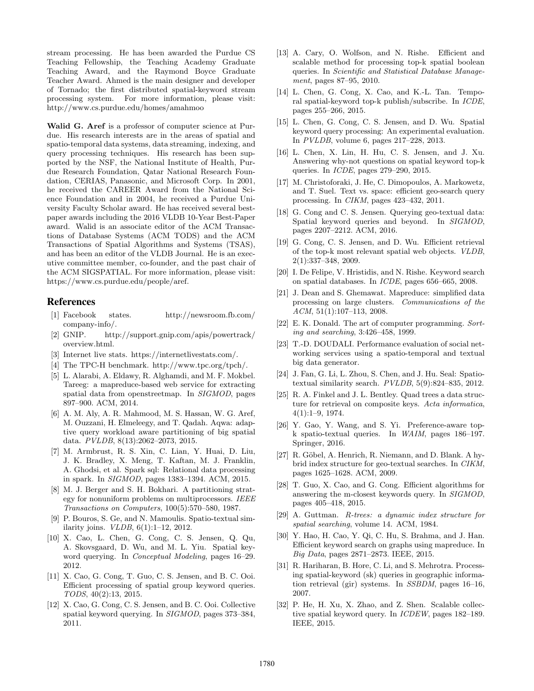stream processing. He has been awarded the Purdue CS Teaching Fellowship, the Teaching Academy Graduate Teaching Award, and the Raymond Boyce Graduate Teacher Award. Ahmed is the main designer and developer of Tornado; the first distributed spatial-keyword stream processing system. For more information, please visit: http://www.cs.purdue.edu/homes/amahmoo

Walid G. Aref is a professor of computer science at Purdue. His research interests are in the areas of spatial and spatio-temporal data systems, data streaming, indexing, and query processing techniques. His research has been supported by the NSF, the National Institute of Health, Purdue Research Foundation, Qatar National Research Foundation, CERIAS, Panasonic, and Microsoft Corp. In 2001, he received the CAREER Award from the National Science Foundation and in 2004, he received a Purdue University Faculty Scholar award. He has received several bestpaper awards including the 2016 VLDB 10-Year Best-Paper award. Walid is an associate editor of the ACM Transactions of Database Systems (ACM TODS) and the ACM Transactions of Spatial Algorithms and Systems (TSAS), and has been an editor of the VLDB Journal. He is an executive committee member, co-founder, and the past chair of the ACM SIGSPATIAL. For more information, please visit: https://www.cs.purdue.edu/people/aref.

#### References

- [1] Facebook states. http://newsroom.fb.com/ company-info/.
- [2] GNIP. http://support.gnip.com/apis/powertrack/ overview.html.
- [3] Internet live stats. https://internetlivestats.com/.
- [4] The TPC-H benchmark. http://www.tpc.org/tpch/.
- [5] L. Alarabi, A. Eldawy, R. Alghamdi, and M. F. Mokbel. Tareeg: a mapreduce-based web service for extracting spatial data from openstreetmap. In SIGMOD, pages 897–900. ACM, 2014.
- [6] A. M. Aly, A. R. Mahmood, M. S. Hassan, W. G. Aref, M. Ouzzani, H. Elmeleegy, and T. Qadah. Aqwa: adaptive query workload aware partitioning of big spatial data. PVLDB, 8(13):2062–2073, 2015.
- [7] M. Armbrust, R. S. Xin, C. Lian, Y. Huai, D. Liu, J. K. Bradley, X. Meng, T. Kaftan, M. J. Franklin, A. Ghodsi, et al. Spark sql: Relational data processing in spark. In SIGMOD, pages 1383–1394. ACM, 2015.
- [8] M. J. Berger and S. H. Bokhari. A partitioning strategy for nonuniform problems on multiprocessors. IEEE Transactions on Computers, 100(5):570–580, 1987.
- [9] P. Bouros, S. Ge, and N. Mamoulis. Spatio-textual similarity joins. VLDB, 6(1):1–12, 2012.
- [10] X. Cao, L. Chen, G. Cong, C. S. Jensen, Q. Qu, A. Skovsgaard, D. Wu, and M. L. Yiu. Spatial keyword querying. In Conceptual Modeling, pages 16–29. 2012.
- [11] X. Cao, G. Cong, T. Guo, C. S. Jensen, and B. C. Ooi. Efficient processing of spatial group keyword queries. TODS, 40(2):13, 2015.
- [12] X. Cao, G. Cong, C. S. Jensen, and B. C. Ooi. Collective spatial keyword querying. In SIGMOD, pages 373–384, 2011.
- [13] A. Cary, O. Wolfson, and N. Rishe. Efficient and scalable method for processing top-k spatial boolean queries. In Scientific and Statistical Database Management, pages 87–95, 2010.
- [14] L. Chen, G. Cong, X. Cao, and K.-L. Tan. Temporal spatial-keyword top-k publish/subscribe. In ICDE, pages 255–266, 2015.
- [15] L. Chen, G. Cong, C. S. Jensen, and D. Wu. Spatial keyword query processing: An experimental evaluation. In PVLDB, volume 6, pages 217–228, 2013.
- [16] L. Chen, X. Lin, H. Hu, C. S. Jensen, and J. Xu. Answering why-not questions on spatial keyword top-k queries. In ICDE, pages 279–290, 2015.
- [17] M. Christoforaki, J. He, C. Dimopoulos, A. Markowetz, and T. Suel. Text vs. space: efficient geo-search query processing. In CIKM, pages 423–432, 2011.
- [18] G. Cong and C. S. Jensen. Querying geo-textual data: Spatial keyword queries and beyond. In SIGMOD, pages 2207–2212. ACM, 2016.
- [19] G. Cong, C. S. Jensen, and D. Wu. Efficient retrieval of the top-k most relevant spatial web objects. VLDB, 2(1):337–348, 2009.
- [20] I. De Felipe, V. Hristidis, and N. Rishe. Keyword search on spatial databases. In ICDE, pages 656–665, 2008.
- [21] J. Dean and S. Ghemawat. Mapreduce: simplified data processing on large clusters. Communications of the ACM, 51(1):107–113, 2008.
- [22] E. K. Donald. The art of computer programming. Sorting and searching, 3:426–458, 1999.
- [23] T.-D. DOUDALI. Performance evaluation of social networking services using a spatio-temporal and textual big data generator.
- [24] J. Fan, G. Li, L. Zhou, S. Chen, and J. Hu. Seal: Spatiotextual similarity search. PVLDB, 5(9):824–835, 2012.
- [25] R. A. Finkel and J. L. Bentley. Quad trees a data structure for retrieval on composite keys. Acta informatica, 4(1):1–9, 1974.
- [26] Y. Gao, Y. Wang, and S. Yi. Preference-aware topk spatio-textual queries. In WAIM, pages 186–197. Springer, 2016.
- [27] R. Göbel, A. Henrich, R. Niemann, and D. Blank. A hybrid index structure for geo-textual searches. In CIKM, pages 1625–1628. ACM, 2009.
- [28] T. Guo, X. Cao, and G. Cong. Efficient algorithms for answering the m-closest keywords query. In SIGMOD, pages 405–418, 2015.
- [29] A. Guttman. R-trees: a dynamic index structure for spatial searching, volume 14. ACM, 1984.
- [30] Y. Hao, H. Cao, Y. Qi, C. Hu, S. Brahma, and J. Han. Efficient keyword search on graphs using mapreduce. In Big Data, pages 2871–2873. IEEE, 2015.
- [31] R. Hariharan, B. Hore, C. Li, and S. Mehrotra. Processing spatial-keyword (sk) queries in geographic information retrieval (gir) systems. In SSBDM, pages 16–16, 2007.
- [32] P. He, H. Xu, X. Zhao, and Z. Shen. Scalable collective spatial keyword query. In ICDEW, pages 182–189. IEEE, 2015.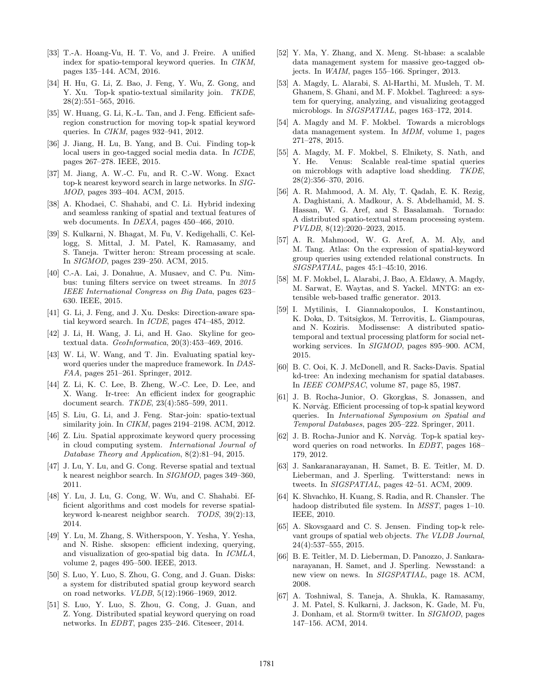- [33] T.-A. Hoang-Vu, H. T. Vo, and J. Freire. A unified index for spatio-temporal keyword queries. In CIKM, pages 135–144. ACM, 2016.
- [34] H. Hu, G. Li, Z. Bao, J. Feng, Y. Wu, Z. Gong, and Y. Xu. Top-k spatio-textual similarity join. TKDE, 28(2):551–565, 2016.
- [35] W. Huang, G. Li, K.-L. Tan, and J. Feng. Efficient saferegion construction for moving top-k spatial keyword queries. In CIKM, pages 932–941, 2012.
- [36] J. Jiang, H. Lu, B. Yang, and B. Cui. Finding top-k local users in geo-tagged social media data. In ICDE, pages 267–278. IEEE, 2015.
- [37] M. Jiang, A. W.-C. Fu, and R. C.-W. Wong. Exact top-k nearest keyword search in large networks. In SIG-MOD, pages 393–404. ACM, 2015.
- [38] A. Khodaei, C. Shahabi, and C. Li. Hybrid indexing and seamless ranking of spatial and textual features of web documents. In DEXA, pages 450–466, 2010.
- [39] S. Kulkarni, N. Bhagat, M. Fu, V. Kedigehalli, C. Kellogg, S. Mittal, J. M. Patel, K. Ramasamy, and S. Taneja. Twitter heron: Stream processing at scale. In SIGMOD, pages 239–250. ACM, 2015.
- [40] C.-A. Lai, J. Donahue, A. Musaev, and C. Pu. Nimbus: tuning filters service on tweet streams. In 2015 IEEE International Congress on Big Data, pages 623– 630. IEEE, 2015.
- [41] G. Li, J. Feng, and J. Xu. Desks: Direction-aware spatial keyword search. In ICDE, pages 474–485, 2012.
- [42] J. Li, H. Wang, J. Li, and H. Gao. Skyline for geotextual data.  $Geofoformatica$ ,  $20(3):453-469$ ,  $2016$ .
- [43] W. Li, W. Wang, and T. Jin. Evaluating spatial keyword queries under the mapreduce framework. In DAS-FAA, pages 251–261. Springer, 2012.
- [44] Z. Li, K. C. Lee, B. Zheng, W.-C. Lee, D. Lee, and X. Wang. Ir-tree: An efficient index for geographic document search. TKDE, 23(4):585–599, 2011.
- [45] S. Liu, G. Li, and J. Feng. Star-join: spatio-textual similarity join. In *CIKM*, pages 2194–2198. ACM, 2012.
- [46] Z. Liu. Spatial approximate keyword query processing in cloud computing system. International Journal of Database Theory and Application, 8(2):81–94, 2015.
- [47] J. Lu, Y. Lu, and G. Cong. Reverse spatial and textual k nearest neighbor search. In SIGMOD, pages 349–360, 2011.
- [48] Y. Lu, J. Lu, G. Cong, W. Wu, and C. Shahabi. Efficient algorithms and cost models for reverse spatialkeyword k-nearest neighbor search. TODS, 39(2):13, 2014.
- [49] Y. Lu, M. Zhang, S. Witherspoon, Y. Yesha, Y. Yesha, and N. Rishe. sksopen: efficient indexing, querying, and visualization of geo-spatial big data. In ICMLA, volume 2, pages 495–500. IEEE, 2013.
- [50] S. Luo, Y. Luo, S. Zhou, G. Cong, and J. Guan. Disks: a system for distributed spatial group keyword search on road networks. VLDB, 5(12):1966–1969, 2012.
- [51] S. Luo, Y. Luo, S. Zhou, G. Cong, J. Guan, and Z. Yong. Distributed spatial keyword querying on road networks. In EDBT, pages 235–246. Citeseer, 2014.
- [52] Y. Ma, Y. Zhang, and X. Meng. St-hbase: a scalable data management system for massive geo-tagged objects. In WAIM, pages 155–166. Springer, 2013.
- [53] A. Magdy, L. Alarabi, S. Al-Harthi, M. Musleh, T. M. Ghanem, S. Ghani, and M. F. Mokbel. Taghreed: a system for querying, analyzing, and visualizing geotagged microblogs. In SIGSPATIAL, pages 163–172, 2014.
- [54] A. Magdy and M. F. Mokbel. Towards a microblogs data management system. In MDM, volume 1, pages 271–278, 2015.
- [55] A. Magdy, M. F. Mokbel, S. Elnikety, S. Nath, and Y. He. Venus: Scalable real-time spatial queries on microblogs with adaptive load shedding. TKDE, 28(2):356–370, 2016.
- [56] A. R. Mahmood, A. M. Aly, T. Qadah, E. K. Rezig, A. Daghistani, A. Madkour, A. S. Abdelhamid, M. S. Hassan, W. G. Aref, and S. Basalamah. Tornado: A distributed spatio-textual stream processing system. PVLDB, 8(12):2020–2023, 2015.
- [57] A. R. Mahmood, W. G. Aref, A. M. Aly, and M. Tang. Atlas: On the expression of spatial-keyword group queries using extended relational constructs. In SIGSPATIAL, pages 45:1–45:10, 2016.
- [58] M. F. Mokbel, L. Alarabi, J. Bao, A. Eldawy, A. Magdy, M. Sarwat, E. Waytas, and S. Yackel. MNTG: an extensible web-based traffic generator. 2013.
- [59] I. Mytilinis, I. Giannakopoulos, I. Konstantinou, K. Doka, D. Tsitsigkos, M. Terrovitis, L. Giampouras, and N. Koziris. Modissense: A distributed spatiotemporal and textual processing platform for social networking services. In SIGMOD, pages 895–900. ACM, 2015.
- [60] B. C. Ooi, K. J. McDonell, and R. Sacks-Davis. Spatial kd-tree: An indexing mechanism for spatial databases. In IEEE COMPSAC, volume 87, page 85, 1987.
- [61] J. B. Rocha-Junior, O. Gkorgkas, S. Jonassen, and K. Nørvåg. Efficient processing of top-k spatial keyword queries. In International Symposium on Spatial and Temporal Databases, pages 205–222. Springer, 2011.
- [62] J. B. Rocha-Junior and K. Nørvåg. Top-k spatial keyword queries on road networks. In EDBT, pages 168– 179, 2012.
- [63] J. Sankaranarayanan, H. Samet, B. E. Teitler, M. D. Lieberman, and J. Sperling. Twitterstand: news in tweets. In SIGSPATIAL, pages 42–51. ACM, 2009.
- [64] K. Shvachko, H. Kuang, S. Radia, and R. Chansler. The hadoop distributed file system. In *MSST*, pages 1–10. IEEE, 2010.
- [65] A. Skovsgaard and C. S. Jensen. Finding top-k relevant groups of spatial web objects. The VLDB Journal, 24(4):537–555, 2015.
- [66] B. E. Teitler, M. D. Lieberman, D. Panozzo, J. Sankaranarayanan, H. Samet, and J. Sperling. Newsstand: a new view on news. In SIGSPATIAL, page 18. ACM, 2008.
- [67] A. Toshniwal, S. Taneja, A. Shukla, K. Ramasamy, J. M. Patel, S. Kulkarni, J. Jackson, K. Gade, M. Fu, J. Donham, et al. Storm@ twitter. In SIGMOD, pages 147–156. ACM, 2014.